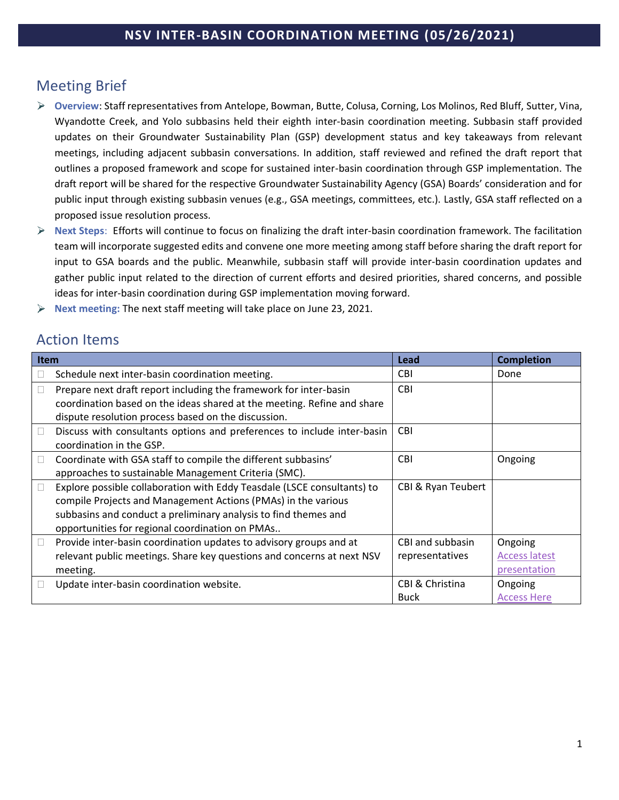# Meeting Brief

- **Overview**: Staff representatives from Antelope, Bowman, Butte, Colusa, Corning, Los Molinos, Red Bluff, Sutter, Vina, Wyandotte Creek, and Yolo subbasins held their eighth inter-basin coordination meeting. Subbasin staff provided updates on their Groundwater Sustainability Plan (GSP) development status and key takeaways from relevant meetings, including adjacent subbasin conversations. In addition, staff reviewed and refined the draft report that outlines a proposed framework and scope for sustained inter-basin coordination through GSP implementation. The draft report will be shared for the respective Groundwater Sustainability Agency (GSA) Boards' consideration and for public input through existing subbasin venues (e.g., GSA meetings, committees, etc.). Lastly, GSA staff reflected on a proposed issue resolution process.
- **Next Steps**: Efforts will continue to focus on finalizing the draft inter-basin coordination framework. The facilitation team will incorporate suggested edits and convene one more meeting among staff before sharing the draft report for input to GSA boards and the public. Meanwhile, subbasin staff will provide inter-basin coordination updates and gather public input related to the direction of current efforts and desired priorities, shared concerns, and possible ideas for inter-basin coordination during GSP implementation moving forward.
- **Next meeting:** The next staff meeting will take place on June 23, 2021. ➤

# Action Items

| <b>Item</b>  |                                                                                                                                                                                                                                                                | Lead                                | <b>Completion</b>                               |
|--------------|----------------------------------------------------------------------------------------------------------------------------------------------------------------------------------------------------------------------------------------------------------------|-------------------------------------|-------------------------------------------------|
|              | Schedule next inter-basin coordination meeting.                                                                                                                                                                                                                | <b>CBI</b>                          | Done                                            |
| $\Box$       | Prepare next draft report including the framework for inter-basin<br>coordination based on the ideas shared at the meeting. Refine and share                                                                                                                   | <b>CBI</b>                          |                                                 |
|              | dispute resolution process based on the discussion.                                                                                                                                                                                                            |                                     |                                                 |
| $\Box$       | Discuss with consultants options and preferences to include inter-basin<br>coordination in the GSP.                                                                                                                                                            | <b>CBI</b>                          |                                                 |
| $\Box$       | Coordinate with GSA staff to compile the different subbasins'<br>approaches to sustainable Management Criteria (SMC).                                                                                                                                          | <b>CBI</b>                          | Ongoing                                         |
| $\mathbf{L}$ | Explore possible collaboration with Eddy Teasdale (LSCE consultants) to<br>compile Projects and Management Actions (PMAs) in the various<br>subbasins and conduct a preliminary analysis to find themes and<br>opportunities for regional coordination on PMAs | <b>CBI &amp; Ryan Teubert</b>       |                                                 |
| $\Box$       | Provide inter-basin coordination updates to advisory groups and at<br>relevant public meetings. Share key questions and concerns at next NSV<br>meeting.                                                                                                       | CBI and subbasin<br>representatives | Ongoing<br><b>Access latest</b><br>presentation |
|              | Update inter-basin coordination website.                                                                                                                                                                                                                       | CBI & Christina<br><b>Buck</b>      | Ongoing<br><b>Access Here</b>                   |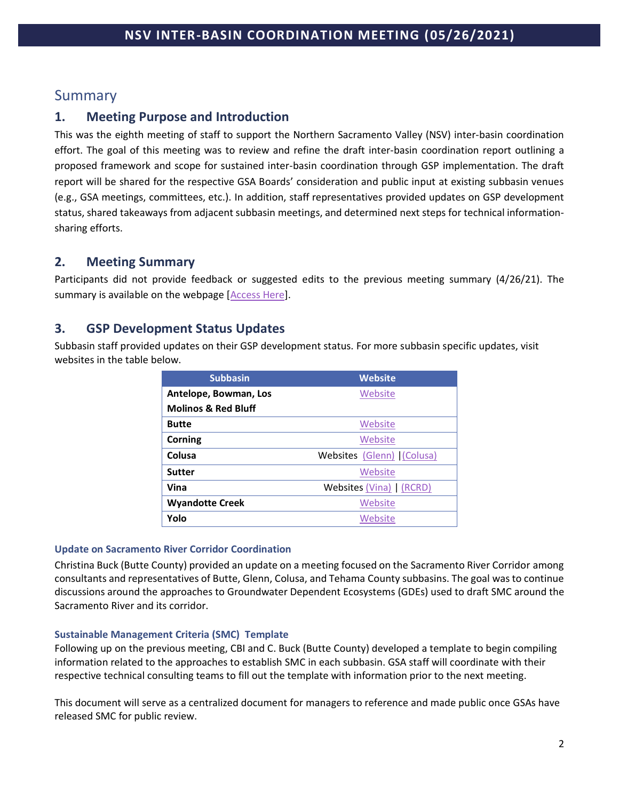# Summary

## **1. Meeting Purpose and Introduction**

This was the eighth meeting of staff to support the Northern Sacramento Valley (NSV) inter-basin coordination effort. The goal of this meeting was to review and refine the draft inter-basin coordination report outlining a proposed framework and scope for sustained inter-basin coordination through GSP implementation. The draft report will be shared for the respective GSA Boards' consideration and public input at existing subbasin venues (e.g., GSA meetings, committees, etc.). In addition, staff representatives provided updates on GSP development status, shared takeaways from adjacent subbasin meetings, and determined next steps for technical informationsharing efforts.

## **2. Meeting Summary**

Participants did not provide feedback or suggested edits to the previous meeting summary (4/26/21). The summary is available on the webpage [\[Access Here\]](http://www.buttecounty.net/wrcdocs/planning/SGWMA/InterbasinCoordination/210426_Summary_InterBasinCoordination_v2.pdf).

## **3. GSP Development Status Updates**

Subbasin staff provided updates on their GSP development status. For more subbasin specific updates, visit websites in the table below.

| <b>Subbasin</b>                | Website                   |  |
|--------------------------------|---------------------------|--|
| Antelope, Bowman, Los          | Website                   |  |
| <b>Molinos &amp; Red Bluff</b> |                           |  |
| <b>Butte</b>                   | Website                   |  |
| Corning                        | Website                   |  |
| Colusa                         | Websites (Glenn) (Colusa) |  |
| <b>Sutter</b>                  | Website                   |  |
| Vina                           | Websites (Vina)   (RCRD)  |  |
| <b>Wyandotte Creek</b>         | Website                   |  |
| Yolo                           | Website                   |  |

### **Update on Sacramento River Corridor Coordination**

Christina Buck (Butte County) provided an update on a meeting focused on the Sacramento River Corridor among consultants and representatives of Butte, Glenn, Colusa, and Tehama County subbasins. The goal was to continue discussions around the approaches to Groundwater Dependent Ecosystems (GDEs) used to draft SMC around the Sacramento River and its corridor.

### **Sustainable Management Criteria (SMC) Template**

Following up on the previous meeting, CBI and C. Buck (Butte County) developed a template to begin compiling information related to the approaches to establish SMC in each subbasin. GSA staff will coordinate with their respective technical consulting teams to fill out the template with information prior to the next meeting.

This document will serve as a centralized document for managers to reference and made public once GSAs have released SMC for public review.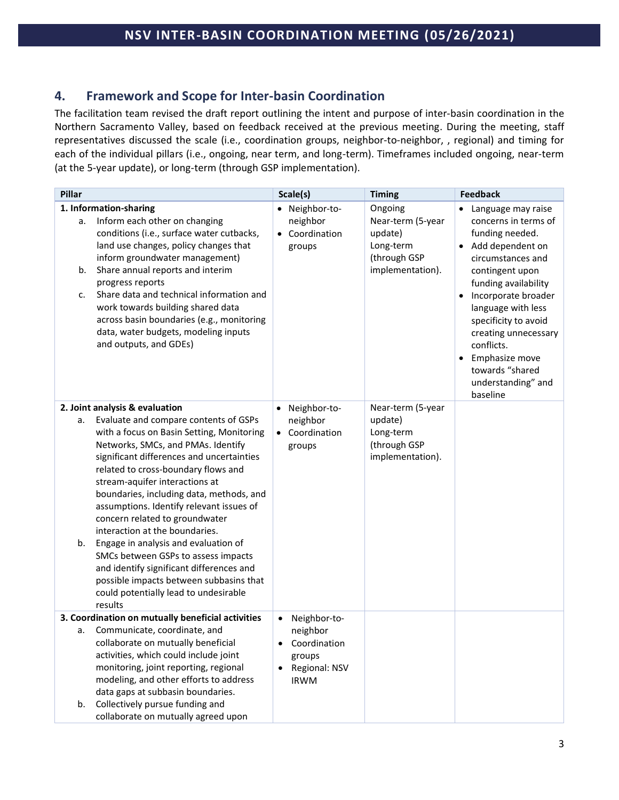## **4. Framework and Scope for Inter-basin Coordination**

The facilitation team revised the draft report outlining the intent and purpose of inter-basin coordination in the Northern Sacramento Valley, based on feedback received at the previous meeting. During the meeting, staff representatives discussed the scale (i.e., coordination groups, neighbor-to-neighbor, , regional) and timing for each of the individual pillars (i.e., ongoing, near term, and long-term). Timeframes included ongoing, near-term (at the 5-year update), or long-term (through GSP implementation).

| Pillar |                                                                                                                                                                                              | Scale(s)                   | <b>Timing</b>                        | <b>Feedback</b>                                                                                                                                                                             |  |
|--------|----------------------------------------------------------------------------------------------------------------------------------------------------------------------------------------------|----------------------------|--------------------------------------|---------------------------------------------------------------------------------------------------------------------------------------------------------------------------------------------|--|
| а.     | 1. Information-sharing<br>Inform each other on changing                                                                                                                                      | · Neighbor-to-<br>neighbor | Ongoing<br>Near-term (5-year         | Language may raise<br>concerns in terms of                                                                                                                                                  |  |
|        | conditions (i.e., surface water cutbacks,<br>land use changes, policy changes that<br>inform groundwater management)                                                                         | • Coordination<br>groups   | update)<br>Long-term<br>(through GSP | funding needed.<br>Add dependent on<br>circumstances and                                                                                                                                    |  |
| b.     | Share annual reports and interim<br>progress reports                                                                                                                                         |                            | implementation).                     | contingent upon<br>funding availability                                                                                                                                                     |  |
| c.     | Share data and technical information and<br>work towards building shared data<br>across basin boundaries (e.g., monitoring<br>data, water budgets, modeling inputs<br>and outputs, and GDEs) |                            |                                      | Incorporate broader<br>language with less<br>specificity to avoid<br>creating unnecessary<br>conflicts.<br>Emphasize move<br>$\bullet$<br>towards "shared<br>understanding" and<br>baseline |  |
|        | 2. Joint analysis & evaluation                                                                                                                                                               | Neighbor-to-<br>$\bullet$  | Near-term (5-year                    |                                                                                                                                                                                             |  |
| а.     | Evaluate and compare contents of GSPs                                                                                                                                                        | neighbor                   | update)                              |                                                                                                                                                                                             |  |
|        | with a focus on Basin Setting, Monitoring<br>Networks, SMCs, and PMAs. Identify                                                                                                              | • Coordination<br>groups   | Long-term<br>(through GSP            |                                                                                                                                                                                             |  |
|        | significant differences and uncertainties                                                                                                                                                    |                            | implementation).                     |                                                                                                                                                                                             |  |
|        | related to cross-boundary flows and                                                                                                                                                          |                            |                                      |                                                                                                                                                                                             |  |
|        | stream-aquifer interactions at                                                                                                                                                               |                            |                                      |                                                                                                                                                                                             |  |
|        | boundaries, including data, methods, and                                                                                                                                                     |                            |                                      |                                                                                                                                                                                             |  |
|        | assumptions. Identify relevant issues of<br>concern related to groundwater                                                                                                                   |                            |                                      |                                                                                                                                                                                             |  |
|        | interaction at the boundaries.                                                                                                                                                               |                            |                                      |                                                                                                                                                                                             |  |
| b.     | Engage in analysis and evaluation of                                                                                                                                                         |                            |                                      |                                                                                                                                                                                             |  |
|        | SMCs between GSPs to assess impacts                                                                                                                                                          |                            |                                      |                                                                                                                                                                                             |  |
|        | and identify significant differences and                                                                                                                                                     |                            |                                      |                                                                                                                                                                                             |  |
|        | possible impacts between subbasins that                                                                                                                                                      |                            |                                      |                                                                                                                                                                                             |  |
|        | could potentially lead to undesirable<br>results                                                                                                                                             |                            |                                      |                                                                                                                                                                                             |  |
|        | 3. Coordination on mutually beneficial activities                                                                                                                                            | Neighbor-to-               |                                      |                                                                                                                                                                                             |  |
| а.     | Communicate, coordinate, and                                                                                                                                                                 | neighbor                   |                                      |                                                                                                                                                                                             |  |
|        | collaborate on mutually beneficial                                                                                                                                                           | Coordination               |                                      |                                                                                                                                                                                             |  |
|        | activities, which could include joint                                                                                                                                                        | groups                     |                                      |                                                                                                                                                                                             |  |
|        | monitoring, joint reporting, regional<br>modeling, and other efforts to address                                                                                                              | Regional: NSV              |                                      |                                                                                                                                                                                             |  |
|        | data gaps at subbasin boundaries.                                                                                                                                                            | <b>IRWM</b>                |                                      |                                                                                                                                                                                             |  |
| b.     | Collectively pursue funding and                                                                                                                                                              |                            |                                      |                                                                                                                                                                                             |  |
|        | collaborate on mutually agreed upon                                                                                                                                                          |                            |                                      |                                                                                                                                                                                             |  |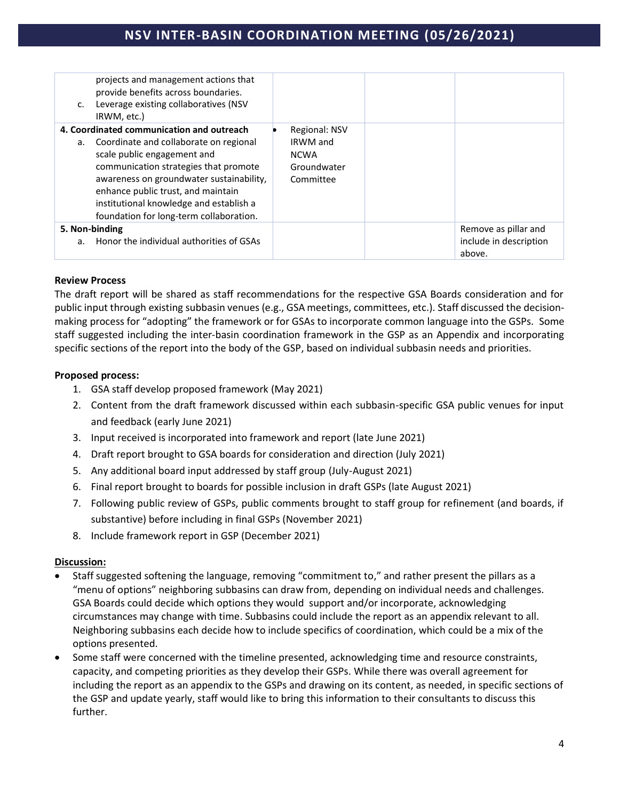## **NSV INTER-BASIN COORDINATION MEETING (05/26/2021)**

| c. | projects and management actions that<br>provide benefits across boundaries.<br>Leverage existing collaboratives (NSV<br>IRWM, etc.)                                                                     |                                                                                    |                                                          |
|----|---------------------------------------------------------------------------------------------------------------------------------------------------------------------------------------------------------|------------------------------------------------------------------------------------|----------------------------------------------------------|
| а. | 4. Coordinated communication and outreach<br>Coordinate and collaborate on regional<br>scale public engagement and<br>communication strategies that promote<br>awareness on groundwater sustainability, | <b>Regional: NSV</b><br><b>IRWM</b> and<br><b>NCWA</b><br>Groundwater<br>Committee |                                                          |
|    | enhance public trust, and maintain<br>institutional knowledge and establish a<br>foundation for long-term collaboration.                                                                                |                                                                                    |                                                          |
|    | 5. Non-binding<br>a. Honor the individual authorities of GSAs                                                                                                                                           |                                                                                    | Remove as pillar and<br>include in description<br>above. |

#### **Review Process**

The draft report will be shared as staff recommendations for the respective GSA Boards consideration and for public input through existing subbasin venues (e.g., GSA meetings, committees, etc.). Staff discussed the decisionmaking process for "adopting" the framework or for GSAs to incorporate common language into the GSPs. Some staff suggested including the inter-basin coordination framework in the GSP as an Appendix and incorporating specific sections of the report into the body of the GSP, based on individual subbasin needs and priorities.

#### **Proposed process:**

- 1. GSA staff develop proposed framework (May 2021)
- 2. Content from the draft framework discussed within each subbasin-specific GSA public venues for input and feedback (early June 2021)
- 3. Input received is incorporated into framework and report (late June 2021)
- 4. Draft report brought to GSA boards for consideration and direction (July 2021)
- 5. Any additional board input addressed by staff group (July-August 2021)
- 6. Final report brought to boards for possible inclusion in draft GSPs (late August 2021)
- 7. Following public review of GSPs, public comments brought to staff group for refinement (and boards, if substantive) before including in final GSPs (November 2021)
- 8. Include framework report in GSP (December 2021)

#### **Discussion:**

- Staff suggested softening the language, removing "commitment to," and rather present the pillars as a "menu of options" neighboring subbasins can draw from, depending on individual needs and challenges. GSA Boards could decide which options they would support and/or incorporate, acknowledging circumstances may change with time. Subbasins could include the report as an appendix relevant to all. Neighboring subbasins each decide how to include specifics of coordination, which could be a mix of the options presented.
- Some staff were concerned with the timeline presented, acknowledging time and resource constraints, capacity, and competing priorities as they develop their GSPs. While there was overall agreement for including the report as an appendix to the GSPs and drawing on its content, as needed, in specific sections of the GSP and update yearly, staff would like to bring this information to their consultants to discuss this further.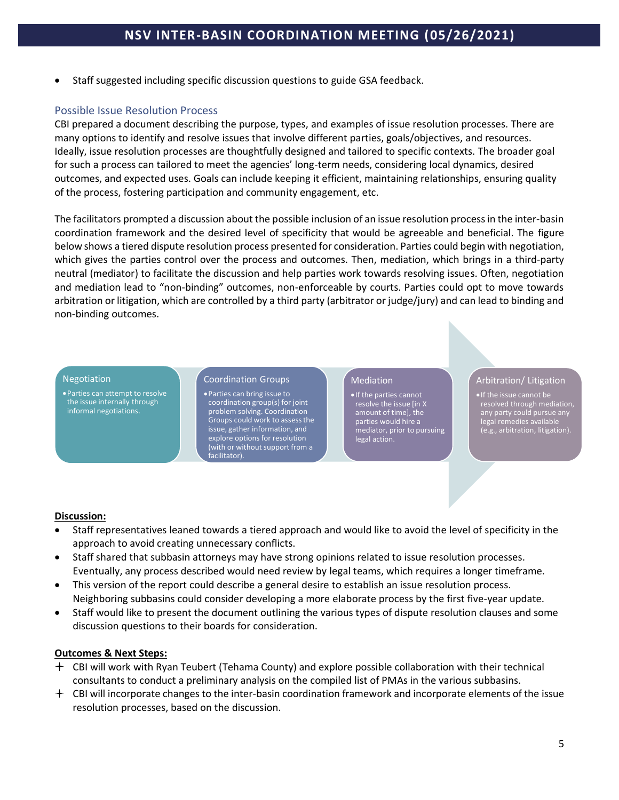• Staff suggested including specific discussion questions to guide GSA feedback.

### Possible Issue Resolution Process

CBI prepared a document describing the purpose, types, and examples of issue resolution processes. There are many options to identify and resolve issues that involve different parties, goals/objectives, and resources. Ideally, issue resolution processes are thoughtfully designed and tailored to specific contexts. The broader goal for such a process can tailored to meet the agencies' long-term needs, considering local dynamics, desired outcomes, and expected uses. Goals can include keeping it efficient, maintaining relationships, ensuring quality of the process, fostering participation and community engagement, etc.

The facilitators prompted a discussion about the possible inclusion of an issue resolution process in the inter-basin coordination framework and the desired level of specificity that would be agreeable and beneficial. The figure below shows a tiered dispute resolution process presented for consideration. Parties could begin with negotiation, which gives the parties control over the process and outcomes. Then, mediation, which brings in a third-party neutral (mediator) to facilitate the discussion and help parties work towards resolving issues. Often, negotiation and mediation lead to "non-binding" outcomes, non-enforceable by courts. Parties could opt to move towards arbitration or litigation, which are controlled by a third party (arbitrator or judge/jury) and can lead to binding and non-binding outcomes.

#### **Negotiation**

•Parties can attempt to resolve the issue internally through informal negotiations.

Coordination Groups

•Parties can bring issue to coordination group(s) for joint problem solving. Coordination Groups could work to assess the issue, gather information, and explore options for resolution (with or without support from a facilitator).

#### Mediation

•If the parties cannot resolve the issue [in X amount of time], the parties would hire a mediator, prior to pursuing legal action.

#### Arbitration/ Litigation

•If the issue cannot be resolved through mediation, any party could pursue any legal remedies available (e.g., arbitration, litigation).

#### **Discussion:**

- Staff representatives leaned towards a tiered approach and would like to avoid the level of specificity in the approach to avoid creating unnecessary conflicts.
- Staff shared that subbasin attorneys may have strong opinions related to issue resolution processes. Eventually, any process described would need review by legal teams, which requires a longer timeframe.
- This version of the report could describe a general desire to establish an issue resolution process. Neighboring subbasins could consider developing a more elaborate process by the first five-year update.
- Staff would like to present the document outlining the various types of dispute resolution clauses and some discussion questions to their boards for consideration.

#### **Outcomes & Next Steps:**

- CBI will work with Ryan Teubert (Tehama County) and explore possible collaboration with their technical consultants to conduct a preliminary analysis on the compiled list of PMAs in the various subbasins.
- CBI will incorporate changes to the inter-basin coordination framework and incorporate elements of the issue resolution processes, based on the discussion.